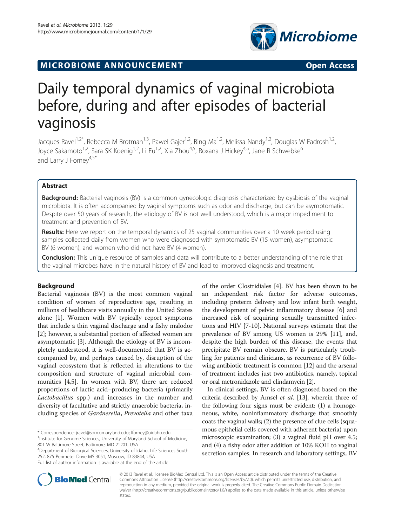# **MICROBIOME ANNOUNCEMENT EXAMPLE 2008 THE OPEN ACCESS**



# Daily temporal dynamics of vaginal microbiota before, during and after episodes of bacterial vaginosis

Jacques Ravel<sup>1,2\*</sup>, Rebecca M Brotman<sup>1,3</sup>, Pawel Gajer<sup>1,2</sup>, Bing Ma<sup>1,2</sup>, Melissa Nandy<sup>1,2</sup>, Douglas W Fadrosh<sup>1,2</sup>, Joyce Sakamoto<sup>1,2</sup>, Sara SK Koenig<sup>1,2</sup>, Li Fu<sup>1,2</sup>, Xia Zhou<sup>4,5</sup>, Roxana J Hickey<sup>4,5</sup>, Jane R Schwebke<sup>6</sup> and Larry J Forney $4.5*$ 

# Abstract

Background: Bacterial vaginosis (BV) is a common gynecologic diagnosis characterized by dysbiosis of the vaginal microbiota. It is often accompanied by vaginal symptoms such as odor and discharge, but can be asymptomatic. Despite over 50 years of research, the etiology of BV is not well understood, which is a major impediment to treatment and prevention of BV.

Results: Here we report on the temporal dynamics of 25 vaginal communities over a 10 week period using samples collected daily from women who were diagnosed with symptomatic BV (15 women), asymptomatic BV (6 women), and women who did not have BV (4 women).

**Conclusion:** This unique resource of samples and data will contribute to a better understanding of the role that the vaginal microbes have in the natural history of BV and lead to improved diagnosis and treatment.

# Background

Bacterial vaginosis (BV) is the most common vaginal condition of women of reproductive age, resulting in millions of healthcare visits annually in the United States alone [[1\]](#page-4-0). Women with BV typically report symptoms that include a thin vaginal discharge and a fishy malodor [[2\]](#page-4-0); however, a substantial portion of affected women are asymptomatic [[3\]](#page-4-0). Although the etiology of BV is incompletely understood, it is well-documented that BV is accompanied by, and perhaps caused by, disruption of the vaginal ecosystem that is reflected in alterations to the composition and structure of vaginal microbial communities [\[4,5](#page-4-0)]. In women with BV, there are reduced proportions of lactic acid–producing bacteria (primarily Lactobacillus spp.) and increases in the number and diversity of facultative and strictly anaerobic bacteria, including species of Gardnerella, Prevotella and other taxa

\* Correspondence: [jravel@som.umaryland.edu](mailto:jravel@som.umaryland.edu); [lforney@uidaho.edu](mailto:lforney@uidaho.edu) <sup>1</sup> <sup>1</sup> Institute for Genome Sciences, University of Maryland School of Medicine, 801 W Baltimore Street, Baltimore, MD 21201, USA

4 Department of Biological Sciences, University of Idaho, Life Sciences South 252, 875 Perimeter Drive MS 3051, Moscow, ID 83844, USA Full list of author information is available at the end of the article

of the order Clostridiales [\[4](#page-4-0)]. BV has been shown to be an independent risk factor for adverse outcomes, including preterm delivery and low infant birth weight, the development of pelvic inflammatory disease [[6\]](#page-4-0) and increased risk of acquiring sexually transmitted infections and HIV [\[7](#page-4-0)-[10\]](#page-4-0). National surveys estimate that the prevalence of BV among US women is 29% [[11](#page-4-0)], and, despite the high burden of this disease, the events that precipitate BV remain obscure. BV is particularly troubling for patients and clinicians, as recurrence of BV following antibiotic treatment is common [\[12\]](#page-4-0) and the arsenal of treatment includes just two antibiotics, namely, topical or oral metronidazole and clindamycin [[2](#page-4-0)].

In clinical settings, BV is often diagnosed based on the criteria described by Amsel et al. [[13](#page-4-0)], wherein three of the following four signs must be evident: (1) a homogeneous, white, noninflammatory discharge that smoothly coats the vaginal walls; (2) the presence of clue cells (squamous epithelial cells covered with adherent bacteria) upon microscopic examination; (3) a vaginal fluid pH over 4.5; and (4) a fishy odor after addition of 10% KOH to vaginal secretion samples. In research and laboratory settings, BV



© 2013 Ravel et al.; licensee BioMed Central Ltd. This is an Open Access article distributed under the terms of the Creative Commons Attribution License [\(http://creativecommons.org/licenses/by/2.0\)](http://creativecommons.org/licenses/by/2.0), which permits unrestricted use, distribution, and reproduction in any medium, provided the original work is properly cited. The Creative Commons Public Domain Dedication waiver [\(http://creativecommons.org/publicdomain/zero/1.0/\)](http://creativecommons.org/publicdomain/zero/1.0/) applies to the data made available in this article, unless otherwise stated.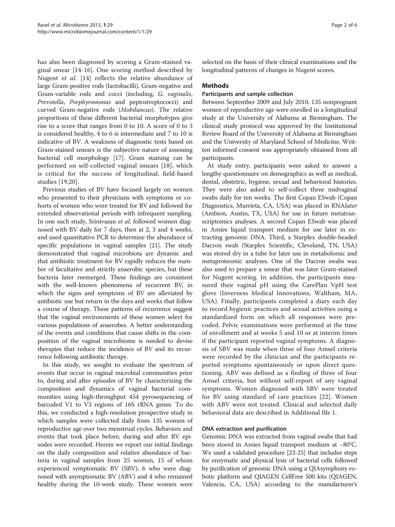has also been diagnosed by scoring a Gram-stained vaginal smear [[14-16](#page-4-0)]. One scoring method described by Nugent et al. [[14\]](#page-4-0) reflects the relative abundance of large Gram-positive rods (lactobacilli), Gram-negative and Gram-variable rods and cocci (including, G. vaginalis, Prevotella, Porphyromonas and peptostreptococci) and curved Gram-negative rods (Mobiluncus). The relative proportions of these different bacterial morphotypes give rise to a score that ranges from 0 to 10. A score of 0 to 3 is considered healthy, 4 to 6 is intermediate and 7 to 10 is indicative of BV. A weakness of diagnostic tests based on Gram-stained smears is the subjective nature of assessing bacterial cell morphology [[17](#page-4-0)]. Gram staining can be performed on self-collected vaginal smears [\[18](#page-4-0)], which is critical for the success of longitudinal, field-based studies [\[19](#page-4-0),[20\]](#page-4-0).

Previous studies of BV have focused largely on women who presented to their physicians with symptoms or cohorts of women who were treated for BV and followed for extended observational periods with infrequent sampling. In one such study, Srinivasan et al. followed women diagnosed with BV daily for 7 days, then at 2, 3 and 4 weeks, and used quantitative PCR to determine the abundance of specific populations in vaginal samples [\[21](#page-4-0)]. The study demonstrated that vaginal microbiota are dynamic and that antibiotic treatment for BV rapidly reduces the number of facultative and strictly anaerobic species, but these bacteria later reemerged. These findings are consistent with the well-known phenomena of recurrent BV, in which the signs and symptoms of BV are alleviated by antibiotic use but return in the days and weeks that follow a course of therapy. These patterns of recurrence suggest that the vaginal environments of these women select for various populations of anaerobes. A better understanding of the events and conditions that cause shifts in the composition of the vaginal microbiome is needed to devise therapies that reduce the incidence of BV and its recurrence following antibiotic therapy.

In this study, we sought to evaluate the spectrum of events that occur in vaginal microbial communities prior to, during and after episodes of BV by characterizing the composition and dynamics of vaginal bacterial communities using high-throughput 454 pyrosequencing of barcoded V1 to V3 regions of 16S rRNA genes. To do this, we conducted a high-resolution prospective study in which samples were collected daily from 135 women of reproductive age over two menstrual cycles. Behaviors and events that took place before, during and after BV episodes were recorded. Herein we report our initial findings on the daily composition and relative abundance of bacteria in vaginal samples from 25 women, 15 of whom experienced symptomatic BV (SBV), 6 who were diagnosed with asymptomatic BV (ABV) and 4 who remained healthy during the 10-week study. These women were

selected on the basis of their clinical examinations and the longitudinal patterns of changes in Nugent scores.

# **Methods**

## Participants and sample collection

Between September 2009 and July 2010, 135 nonpregnant women of reproductive age were enrolled in a longitudinal study at the University of Alabama at Birmingham. The clinical study protocol was approved by the Institutional Review Board of the University of Alabama at Birmingham and the University of Maryland School of Medicine. Written informed consent was appropriately obtained from all participants.

At study entry, participants were asked to answer a lengthy questionnaire on demographics as well as medical, dental, obstetric, hygiene, sexual and behavioral histories. They were also asked to self-collect three midvaginal swabs daily for ten weeks. The first Copan ESwab (Copan Diagnostics, Murrieta, CA, USA) was placed in RNAlater (Ambion, Austin, TX, USA) for use in future metatranscriptomics analyses. A second Copan ESwab was placed in Amies liquid transport medium for use later in extracting genomic DNA. Third, a Starplex double-headed Dacron swab (Starplex Scientific, Cleveland, TN, USA) was stored dry in a tube for later use in metabolomic and metaproteomic analyses. One of the Dacron swabs was also used to prepare a smear that was later Gram-stained for Nugent scoring. In addition, the participants measured their vaginal pH using the CarePlan VpH test glove (Inverness Medical Innovations, Waltham, MA, USA). Finally, participants completed a diary each day to record hygienic practices and sexual activities using a standardized form on which all responses were precoded. Pelvic examinations were performed at the time of enrollment and at weeks 5 and 10 or at interim times if the participant reported vaginal symptoms. A diagnosis of SBV was made when three of four Amsel criteria were recorded by the clinician and the participants reported symptoms spontaneously or upon direct questioning. ABV was defined as a finding of three of four Amsel criteria, but without self-report of any vaginal symptoms. Women diagnosed with SBV were treated for BV using standard of care practices [\[22](#page-4-0)]. Women with ABV were not treated. Clinical and selected daily behavioral data are described in Additional file [1.](#page-4-0)

# DNA extraction and purification

Genomic DNA was extracted from vaginal swabs that had been stored in Amies liquid transport medium at −80°C. We used a validated procedure [[23](#page-4-0)-[25](#page-4-0)] that includes steps for enzymatic and physical lysis of bacterial cells followed by purification of genomic DNA using a QIAsymphony robotic platform and QIAGEN CellFree 500 kits (QIAGEN, Valencia, CA, USA) according to the manufacturer's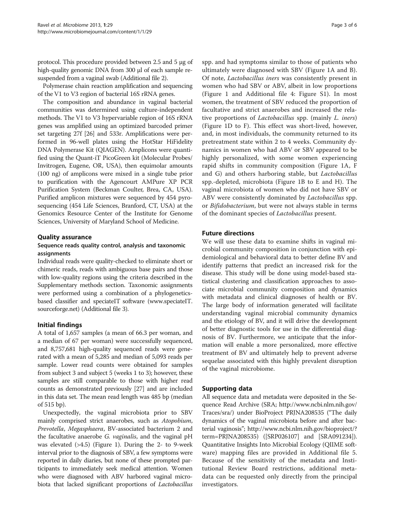protocol. This procedure provided between 2.5 and 5 μg of high-quality genomic DNA from 300 μl of each sample resuspended from a vaginal swab (Additional file [2](#page-4-0)).

Polymerase chain reaction amplification and sequencing of the V1 to V3 region of bacterial 16S rRNA genes.

The composition and abundance in vaginal bacterial communities was determined using culture-independent methods. The V1 to V3 hypervariable region of 16S rRNA genes was amplified using an optimized barcoded primer set targeting 27f [\[26\]](#page-5-0) and 533r. Amplifications were performed in 96-well plates using the HotStar HiFidelity DNA Polymerase Kit (QIAGEN). Amplicons were quantified using the Quant-iT PicoGreen kit (Molecular Probes/ Invitrogen, Eugene, OR, USA), then equimolar amounts (100 ng) of amplicons were mixed in a single tube prior to purification with the Agencourt AMPure XP PCR Purification System (Beckman Coulter, Brea, CA, USA). Purified amplicon mixtures were sequenced by 454 pyrosequencing (454 Life Sciences, Branford, CT, USA) at the Genomics Resource Center of the Institute for Genome Sciences, University of Maryland School of Medicine.

# Quality assurance

# Sequence reads quality control, analysis and taxonomic assignments

Individual reads were quality-checked to eliminate short or chimeric reads, reads with ambiguous base pairs and those with low-quality regions using the criteria described in the Supplementary methods section. Taxonomic assignments were performed using a combination of a phylogeneticsbased classifier and speciateIT software ([www.speciateIT.](http://www.speciateIT.sourceforge.net) [sourceforge.net](http://www.speciateIT.sourceforge.net)) (Additional file [3](#page-4-0)).

# Initial findings

A total of 1,657 samples (a mean of 66.3 per woman, and a median of 67 per woman) were successfully sequenced, and 8,757,681 high-quality sequenced reads were generated with a mean of 5,285 and median of 5,093 reads per sample. Lower read counts were obtained for samples from subject 3 and subject 5 (weeks 1 to 3); however, these samples are still comparable to those with higher read counts as demonstrated previously [\[27\]](#page-5-0) and are included in this data set. The mean read length was 485 bp (median of 515 bp).

Unexpectedly, the vaginal microbiota prior to SBV mainly comprised strict anaerobes, such as Atopobium, Prevotella, Megasphaera, BV-associated bacterium 2 and the facultative anaerobe *G. vaginalis*, and the vaginal pH was elevated (>4.5) (Figure [1\)](#page-3-0). During the 2- to 9-week interval prior to the diagnosis of SBV, a few symptoms were reported in daily diaries, but none of these prompted participants to immediately seek medical attention. Women who were diagnosed with ABV harbored vaginal microbiota that lacked significant proportions of Lactobacillus

spp. and had symptoms similar to those of patients who ultimately were diagnosed with SBV (Figure [1](#page-3-0)A and B). Of note, Lactobacillus iners was consistently present in women who had SBV or ABV, albeit in low proportions (Figure [1](#page-3-0) and Additional file [4](#page-4-0): Figure S1). In most women, the treatment of SBV reduced the proportion of facultative and strict anaerobes and increased the relative proportions of Lactobacillus spp. (mainly L. iners) (Figure [1](#page-3-0)D to F). This effect was short-lived, however, and, in most individuals, the community returned to its pretreatment state within 2 to 4 weeks. Community dynamics in women who had ABV or SBV appeared to be highly personalized, with some women experiencing rapid shifts in community composition (Figure [1](#page-3-0)A, F and G) and others harboring stable, but Lactobacillus spp.-depleted, microbiota (Figure [1](#page-3-0)B to E and H). The vaginal microbiota of women who did not have SBV or ABV were consistently dominated by Lactobacillus spp. or Bifidobacterium, but were not always stable in terms of the dominant species of Lactobacillus present.

# Future directions

We will use these data to examine shifts in vaginal microbial community composition in conjunction with epidemiological and behavioral data to better define BV and identify patterns that predict an increased risk for the disease. This study will be done using model-based statistical clustering and classification approaches to associate microbial community composition and dynamics with metadata and clinical diagnoses of health or BV. The large body of information generated will facilitate understanding vaginal microbial community dynamics and the etiology of BV, and it will drive the development of better diagnostic tools for use in the differential diagnosis of BV. Furthermore, we anticipate that the information will enable a more personalized, more effective treatment of BV and ultimately help to prevent adverse sequelae associated with this highly prevalent disruption of the vaginal microbiome.

# Supporting data

All sequence data and metadata were deposited in the Sequence Read Archive (SRA; [http://www.ncbi.nlm.nih.gov/](http://www.ncbi.nlm.nih.gov/Traces/sra/) [Traces/sra/](http://www.ncbi.nlm.nih.gov/Traces/sra/)) under BioProject PRJNA208535 ("The daily dynamics of the vaginal microbiota before and after bacterial vaginosis"; [http://www.ncbi.nlm.nih.gov/bioproject/?](http://www.ncbi.nlm.nih.gov/bioproject/?term=PRJNA208535) [term=PRJNA208535](http://www.ncbi.nlm.nih.gov/bioproject/?term=PRJNA208535)) ([SRP026107] and [SRA091234]). Quantitative Insights Into Microbial Ecology (QIIME software) mapping files are provided in Additional file [5](#page-4-0). Because of the sensitivity of the metadata and Institutional Review Board restrictions, additional metadata can be requested only directly from the principal investigators.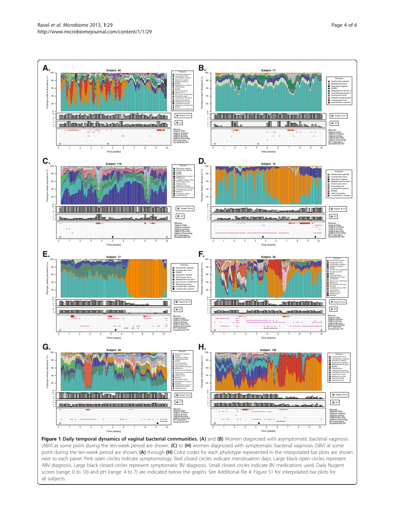<span id="page-3-0"></span>

(ABV) at some point during the ten-week period are shown. (C) to (H) women diagnosed with symptomatic bacterial vaginosis (SBV) at some point during the ten-week period are shown. (A) through (H) Color codes for each phylotype represented in the interpolated bar plots are shown next to each panel. Pink open circles indicate symptomology. Red closed circles indicate menstruation days. Large black open circles represent ABV diagnosis. Large black closed circles represent symptomatic BV diagnosis. Small closed circles indicate BV medications used. Daily Nugent scores (range: 0 to 10) and pH (range: 4 to 7) are indicated below the graphs. See Additional file [4:](#page-4-0) Figure S1 for interpolated bar plots for all subjects.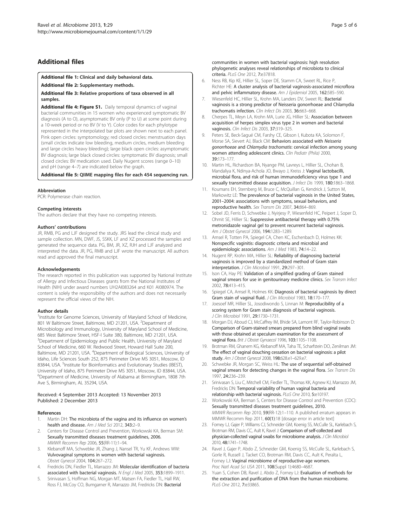# <span id="page-4-0"></span>Additional files

# [Additional file 1:](http://www.biomedcentral.com/content/supplementary/2049-2618-1-29-S1.xlsx) Clinical and daily behavioral data.

[Additional file 2:](http://www.biomedcentral.com/content/supplementary/2049-2618-1-29-S2.docx) Supplementary methods.

[Additional file 3:](http://www.biomedcentral.com/content/supplementary/2049-2618-1-29-S3.xlsx) Relative proportions of taxa observed in all samples.

[Additional file 4: Figure S1.](http://www.biomedcentral.com/content/supplementary/2049-2618-1-29-S4.pdf) Daily temporal dynamics of vaginal bacterial communities in 15 women who experienced symptomatic BV diagnosis (A to O), asymptomatic BV only (P to U) at some point during a 10-week period or no BV (V to Y). Color codes for each phylotype represented in the interpolated bar plots are shown next to each panel. Pink open circles: symptomology; red closed circles: menstruation days (small circles indicate low bleeding, medium circles, medium bleeding and large circles heavy bleeding); large black open circles: asymptomatic BV diagnosis; large black closed circles: symptomatic BV diagnosis; small closed circles: BV medication used. Daily Nugent scores (range 0–10) and pH (range 4–7) are indicated below the graph.

## [Additional file 5:](http://www.biomedcentral.com/content/supplementary/2049-2618-1-29-S5.zip) QIIME mapping files for each 454 sequencing run.

### Abbreviation

PCR: Polymerase chain reaction.

#### Competing interests

The authors declare that they have no competing interests.

## Authors' contributions

JR, RMB, PG and LJF designed the study. JRS lead the clinical study and sample collection. MN, DWF, JS, SSKK, LF and XZ processed the samples and generated the sequence data. PG, BM, JR, XZ, RJH and LJF analyzed and interpreted the data. JR, PG, RMB and LJF wrote the manuscript. All authors read and approved the final manuscript.

#### Acknowledgements

The research reported in this publication was supported by National Institute of Allergy and Infectious Diseases grants from the National Institutes of Health (NIH) under award numbers UH2AI083264 and K01 AI080974. The content is solely the responsibility of the authors and does not necessarily represent the official views of the NIH.

#### Author details

<sup>1</sup>Institute for Genome Sciences, University of Maryland School of Medicine, 801 W Baltimore Street, Baltimore, MD 21201, USA. <sup>2</sup>Department of Microbiology and Immunology, University of Maryland School of Medicine, 685 West Baltimore Street, HSF-I Suite 380, Baltimore, MD 21201, USA. <sup>3</sup>Department of Epidemiology and Public Health, University of Maryland School of Medicine, 660 W. Redwood Street, Howard Hall Suite 200, Baltimore, MD 21201, USA. <sup>4</sup>Department of Biological Sciences, University of Idaho, Life Sciences South 252, 875 Perimeter Drive MS 3051, Moscow, ID 83844, USA. <sup>5</sup>Institute for Bioinformatics and Evolutionary Studies (IBEST), University of Idaho, 875 Perimeter Drive MS 3051, Moscow, ID 83844, USA. 6 Department of Medicine, University of Alabama at Birmingham, 1808 7th Ave S, Birmingham, AL 35294, USA.

## Received: 4 September 2013 Accepted: 13 November 2013 Published: 2 December 2013

## References

- 1. Martin DH: The microbiota of the vagina and its influence on women's health and disease. Am J Med Sci 2012, 343:2-9.
- 2. Centers for Disease Control and Prevention, Workowski KA, Berman SM: Sexually transmitted diseases treatment guidelines, 2006. MMWR Recomm Rep 2006, 55(RR-11):1–94.
- 3. Klebanoff MA, Schwebke JR, Zhang J, Nansel TR, Yu KF, Andrews WW: Vulvovaginal symptoms in women with bacterial vaginosis. Obstet Gynecol 2004, 104:267–272.
- 4. Fredricks DN, Fiedler TL, Marrazzo JM: Molecular identification of bacteria associated with bacterial vaginosis. N Engl J Med 2005, 353:1899–1911.
- 5. Srinivasan S, Hoffman NG, Morgan MT, Matsen FA, Fiedler TL, Hall RW, Ross FJ, McCoy CO, Bumgarner R, Marrazzo JM, Fredricks DN: Bacterial

communities in women with bacterial vaginosis: high resolution phylogenetic analyses reveal relationships of microbiota to clinical criteria. PLoS One 2012, 7:e37818.

- 6. Ness RB, Kip KE, Hillier SL, Soper DE, Stamm CA, Sweet RL, Rice P, Richter HE: A cluster analysis of bacterial vaginosis-associated microflora and pelvic inflammatory disease. Am J Epidemiol 2005, 162:585-590.
- 7. Wiesenfeld HC, Hillier SL, Krohn MA, Landers DV, Sweet RL: Bacterial vaginosis is a strong predictor of Neisseria gonorrhoeae and Chlamydia trachomatis infection. Clin Infect Dis 2003, 36:663–668.
- 8. Cherpes TL, Meyn LA, Krohn MA, Lurie JG, Hillier SL: Association between acquisition of herpes simplex virus type 2 in women and bacterial vaginosis. Clin Infect Dis 2003, 37:319-325.
- 9. Peters SE, Beck-Sagué CM, Farshy CE, Gibson I, Kubota KA, Solomon F, Morse SA, Sievert AJ, Black CM: Behaviors associated with Neisseria gonorrhoeae and Chlamydia trachomatis: cervical infection among young women attending adolescent clinics. Clin Pediatr (Phila) 2000, 39:173–177.
- 10. Martin HL, Richardson BA, Nyange PM, Lavreys L, Hillier SL, Chohan B, Mandaliya K, Ndinya-Achola JO, Bwayo J, Kreiss J: Vaginal lactobacilli, microbial flora, and risk of human immunodeficiency virus type 1 and sexually transmitted disease acquisition. *J Infect Dis* 1999, 180:1863-1868.
- 11. Koumans EH, Sternberg M, Bruce C, McQuillan G, Kendrick J, Sutton M, Markowitz LE: The prevalence of bacterial vaginosis in the United States, 2001–2004: associations with symptoms, sexual behaviors, and reproductive health. Sex Transm Dis 2007, 34:864–869.
- 12. Sobel JD, Ferris D, Schwebke J, Nyirjesy P, Wiesenfeld HC, Peipert J, Soper D, Ohmit SE, Hillier SL: Suppressive antibacterial therapy with 0.75% metronidazole vaginal gel to prevent recurrent bacterial vaginosis. Am J Obstet Gynecol 2006, 194:1283–1289.
- 13. Amsel R, Totten PA, Spiegel CA, Chen KC, Eschenbach D, Holmes KK: Nonspecific vaginitis: diagnostic criteria and microbial and epidemiologic associations. Am J Med 1983, 74:14–22.
- 14. Nugent RP, Krohn MA, Hillier SL: Reliability of diagnosing bacterial vaginosis is improved by a standardized method of Gram stain interpretation. J Clin Microbiol 1991, 29:297–301.
- 15. Ison CA, Hay PE: Validation of a simplified grading of Gram stained vaginal smears for use in genitourinary medicine clinics. Sex Transm Infect 2002, 78:413–415.
- 16. Spiegel CA, Amsel R, Holmes KK: Diagnosis of bacterial vaginosis by direct Gram stain of vaginal fluid. J Clin Microbiol 1983, 18:170-177
- 17. Joesoef MR, Hillier SL, Josodiwondo S, Linnan M: Reproducibility of a scoring system for Gram stain diagnosis of bacterial vaginosis. J Clin Microbiol 1991, 29:1730–1731.
- 18. Morgan DJ, Aboud CJ, McCaffrey IM, Bhide SA, Lamont RF, Taylor-Robinson D: Comparison of Gram-stained smears prepared from blind vaginal swabs with those obtained at speculum examination for the assessment of vaginal flora. Brit J Obstet Gynaecol 1996, 103:1105–1108.
- 19. Brotman RM, Ghanem KG, Klebanoff MA, Taha TE, Scharfstein DO, Zenilman JM: The effect of vaginal douching cessation on bacterial vaginosis: a pilot study. Am J Obstet Gynecol 2008, 198:628.e1–629.e7.
- 20. Schwebke JR, Morgan SC, Weiss HL: The use of sequential self-obtained vaginal smears for detecting changes in the vaginal flora. Sex Transm Dis 1997, 24:236–239.
- 21. Srinivasan S, Liu C, Mitchell CM, Fiedler TL, Thomas KK, Agnew KJ, Marrazzo JM, Fredricks DN: Temporal variability of human vaginal bacteria and relationship with bacterial vaginosis. PLoS One 2010, 5:e10197.
- 22. Workowski KA, Berman S, Centers for Disease Control and Prevention (CDC): Sexually transmitted diseases treatment guidelines, 2010. MMWR Recomm Rep 2010, 59(RR-12):1–110. A published erratum appears in MMWR Recomm Rep 2011, 60(1):18 [dosage error in article text]
- 23. Forney LJ, Gajer P, Williams CJ, Schneider GM, Koenig SS, McCulle SL, Karlebach S, Brotman RM, Davis CC, Ault K, Ravel J: Comparison of self-collected and physician-collected vaginal swabs for microbiome analysis. J Clin Microbiol 2010, 48:1741–1748.
- 24. Ravel J, Gajer P, Abdo Z, Schneider GM, Koenig SS, McCulle SL, Karlebach S, Gorle R, Russell J, Tacket CO, Brotman RM, Davis CC, Ault K, Peralta L, Forney LJ: Vaginal microbiome of reproductive-age women. Proc Natl Acad Sci USA 2011, 108(Suppl 1):4680–4687.
- 25. Yuan S, Cohen DB, Ravel J, Abdo Z, Forney LJ: Evaluation of methods for the extraction and purification of DNA from the human microbiome. PLoS One 2012, 7:e33865.